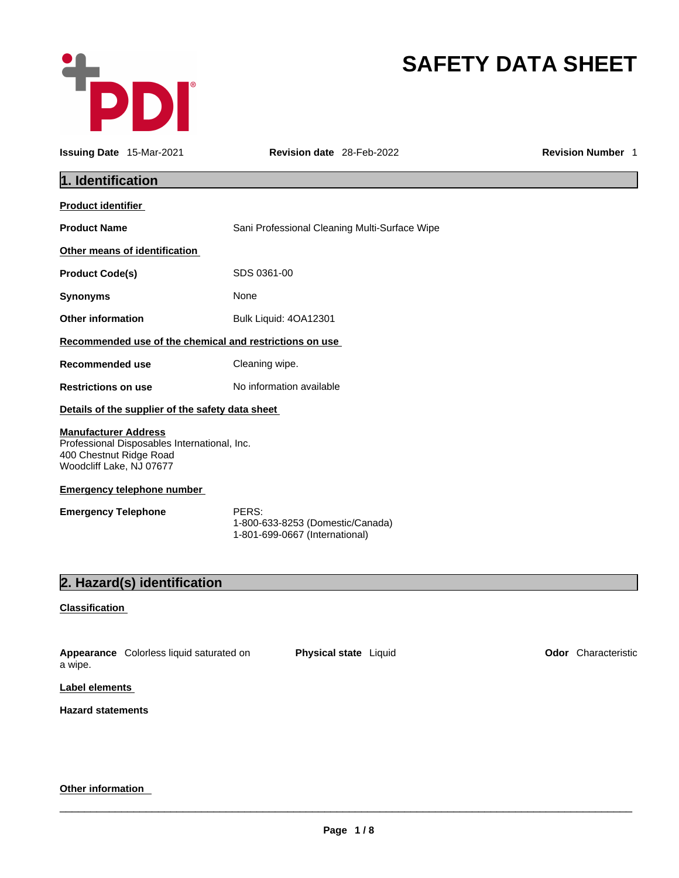

# **SAFETY DATA SHEET**

|                                                                                    | <b>Issuing Date 15-Mar-2021</b>                  | Revision date 28-Feb-2022                                                   | <b>Revision Number 1</b> |
|------------------------------------------------------------------------------------|--------------------------------------------------|-----------------------------------------------------------------------------|--------------------------|
| 1. Identification                                                                  |                                                  |                                                                             |                          |
| <b>Product identifier</b>                                                          |                                                  |                                                                             |                          |
| <b>Product Name</b>                                                                |                                                  | Sani Professional Cleaning Multi-Surface Wipe                               |                          |
|                                                                                    | Other means of identification                    |                                                                             |                          |
| <b>Product Code(s)</b>                                                             |                                                  | SDS 0361-00                                                                 |                          |
| <b>Synonyms</b>                                                                    |                                                  | None                                                                        |                          |
| <b>Other information</b>                                                           |                                                  | Bulk Liquid: 4OA12301                                                       |                          |
|                                                                                    |                                                  | Recommended use of the chemical and restrictions on use                     |                          |
| Recommended use                                                                    |                                                  | Cleaning wipe.                                                              |                          |
| <b>Restrictions on use</b>                                                         |                                                  | No information available                                                    |                          |
|                                                                                    | Details of the supplier of the safety data sheet |                                                                             |                          |
| <b>Manufacturer Address</b><br>400 Chestnut Ridge Road<br>Woodcliff Lake, NJ 07677 | Professional Disposables International, Inc.     |                                                                             |                          |
|                                                                                    | <b>Emergency telephone number</b>                |                                                                             |                          |
| <b>Emergency Telephone</b>                                                         |                                                  | PERS:<br>1-800-633-8253 (Domestic/Canada)<br>1-801-699-0667 (International) |                          |
|                                                                                    | 2. Hazard(s) identification                      |                                                                             |                          |
| <b>Classification</b>                                                              |                                                  |                                                                             |                          |
| a wipe.                                                                            | Appearance Colorless liquid saturated on         | Physical state Liquid                                                       | Odor Characteristic      |

**Label elements**

**Hazard statements** 

### **Other information**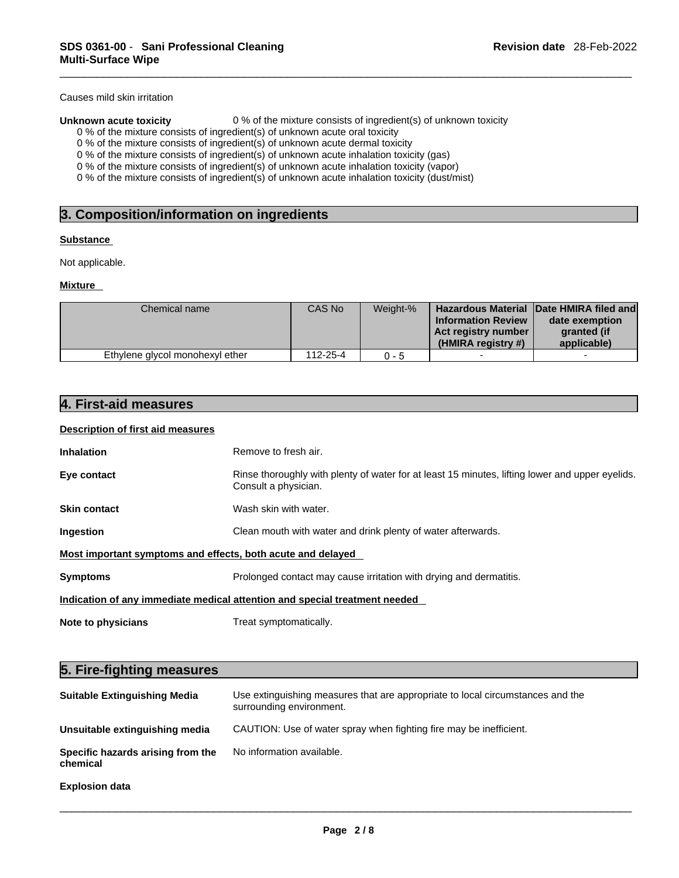Causes mild skin irritation

**Unknown acute toxicity** 0 % of the mixture consists of ingredient(s) of unknown toxicity

- 0 % of the mixture consists of ingredient(s) of unknown acute oral toxicity
- 0 % of the mixture consists of ingredient(s) of unknown acute dermal toxicity

0 % of the mixture consists of ingredient(s) of unknown acute inhalation toxicity (gas)

0 % of the mixture consists of ingredient(s) of unknown acute inhalation toxicity (vapor)

0 % of the mixture consists of ingredient(s) of unknown acute inhalation toxicity (dust/mist)

#### **Substance**

#### **Mixture**

| Not applicable.                 |  |          |          |                                                                        |                                                                                         |
|---------------------------------|--|----------|----------|------------------------------------------------------------------------|-----------------------------------------------------------------------------------------|
|                                 |  |          |          |                                                                        |                                                                                         |
| <b>Mixture</b>                  |  |          |          |                                                                        |                                                                                         |
| Chemical name                   |  | CAS No   | Weight-% | <b>Information Review</b><br>Act registry number<br>(HMIRA registry #) | Hazardous Material Date HMIRA filed and<br>date exemption<br>granted (if<br>applicable) |
| Ethylene glycol monohexyl ether |  | 112-25-4 | $0 - 5$  |                                                                        |                                                                                         |

#### **Description of first aid measures**

| Inhalation                                                                     | Remove to fresh air.                                                                                                    |  |  |  |
|--------------------------------------------------------------------------------|-------------------------------------------------------------------------------------------------------------------------|--|--|--|
| Eye contact                                                                    | Rinse thoroughly with plenty of water for at least 15 minutes, lifting lower and upper eyelids.<br>Consult a physician. |  |  |  |
| Skin contact                                                                   | Wash skin with water.                                                                                                   |  |  |  |
| Ingestion                                                                      | Clean mouth with water and drink plenty of water afterwards.                                                            |  |  |  |
| Most important symptoms and effects, both acute and delayed                    |                                                                                                                         |  |  |  |
| Symptoms<br>Prolonged contact may cause irritation with drying and dermatitis. |                                                                                                                         |  |  |  |
|                                                                                | Indication of any immediate medical attention and special treatment needed                                              |  |  |  |
| <b>Note to physicians</b>                                                      | Treat symptomatically.                                                                                                  |  |  |  |
|                                                                                |                                                                                                                         |  |  |  |
| 5. Fire-fighting measures                                                      |                                                                                                                         |  |  |  |
| <b>Suitable Extinguishing Media</b>                                            | Use extinguishing measures that are appropriate to local circumstances and the<br>surrounding environment.              |  |  |  |

| <b>Suitable Extinguishing Media</b>           | Use extinguishing measures that are appropriate to local circumstances and the<br>surrounding environment. |
|-----------------------------------------------|------------------------------------------------------------------------------------------------------------|
| Unsuitable extinguishing media                | CAUTION: Use of water spray when fighting fire may be inefficient.                                         |
| Specific hazards arising from the<br>chemical | No information available.                                                                                  |
| <b>Explosion data</b>                         |                                                                                                            |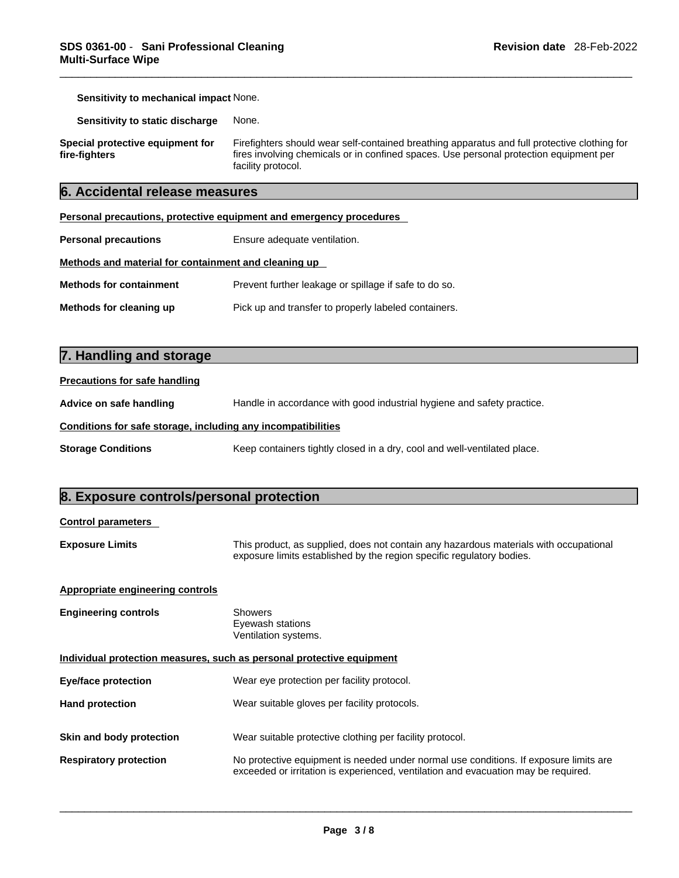**Sensitivity to mechanical impact** None.

**Sensitivity to static discharge** None.

**Special protective equipment for fire-fighters**

Firefighters should wear self-contained breathing apparatus and full protective clothing for fires involving chemicals or in confined spaces. Use personal protection equipment per facility protocol.

### **6. Accidental release measures**

| Personal precautions, protective equipment and emergency procedures |                                                       |  |  |  |
|---------------------------------------------------------------------|-------------------------------------------------------|--|--|--|
| <b>Personal precautions</b>                                         | Ensure adequate ventilation.                          |  |  |  |
| Methods and material for containment and cleaning up                |                                                       |  |  |  |
| <b>Methods for containment</b>                                      | Prevent further leakage or spillage if safe to do so. |  |  |  |
| Methods for cleaning up                                             | Pick up and transfer to properly labeled containers.  |  |  |  |

# **7. Handling and storage**

| <b>Precautions for safe handling</b>                                                              |                                                                          |  |  |  |
|---------------------------------------------------------------------------------------------------|--------------------------------------------------------------------------|--|--|--|
| Handle in accordance with good industrial hygiene and safety practice.<br>Advice on safe handling |                                                                          |  |  |  |
| Conditions for safe storage, including any incompatibilities                                      |                                                                          |  |  |  |
| <b>Storage Conditions</b>                                                                         | Keep containers tightly closed in a dry, cool and well-ventilated place. |  |  |  |

# **8. Exposure controls/personal protection**

#### **Control parameters**

**Exposure Limits** This product, as supplied, does not contain any hazardous materials with occupational exposure limits established by the region specific regulatory bodies.

#### **Appropriate engineering controls**

| <b>Engineering controls</b>                                           | Showers<br>Eyewash stations<br>Ventilation systems.                                                                                                                         |
|-----------------------------------------------------------------------|-----------------------------------------------------------------------------------------------------------------------------------------------------------------------------|
| Individual protection measures, such as personal protective equipment |                                                                                                                                                                             |
| Eye/face protection                                                   | Wear eye protection per facility protocol.                                                                                                                                  |
| <b>Hand protection</b>                                                | Wear suitable gloves per facility protocols.                                                                                                                                |
|                                                                       |                                                                                                                                                                             |
| Skin and body protection                                              | Wear suitable protective clothing per facility protocol.                                                                                                                    |
| <b>Respiratory protection</b>                                         | No protective equipment is needed under normal use conditions. If exposure limits are<br>exceeded or irritation is experienced, ventilation and evacuation may be required. |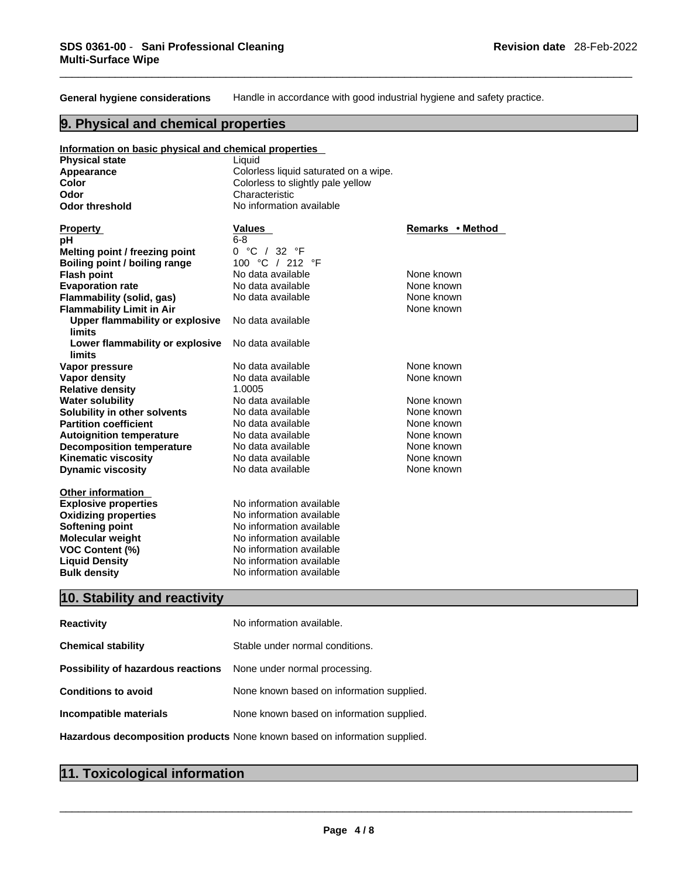**General hygiene considerations** Handle in accordance with good industrial hygiene and safety practice.

# **9. Physical and chemical properties**

| Information on basic physical and chemical properties   |                                       |                  |
|---------------------------------------------------------|---------------------------------------|------------------|
| <b>Physical state</b>                                   | Liquid                                |                  |
| Appearance                                              | Colorless liquid saturated on a wipe. |                  |
| Color                                                   | Colorless to slightly pale yellow     |                  |
| Odor                                                    | Characteristic                        |                  |
| <b>Odor threshold</b>                                   | No information available              |                  |
|                                                         |                                       |                  |
| <b>Property</b>                                         | Values                                | Remarks • Method |
| рH                                                      | $6 - 8$                               |                  |
| Melting point / freezing point                          | 0 °C / 32 °F                          |                  |
| Boiling point / boiling range                           | 100 °C / 212 °F                       |                  |
| <b>Flash point</b>                                      | No data available                     | None known       |
| <b>Evaporation rate</b>                                 | No data available                     | None known       |
| Flammability (solid, gas)                               | No data available                     | None known       |
| <b>Flammability Limit in Air</b>                        |                                       | None known       |
| <b>Upper flammability or explosive</b><br><b>limits</b> | No data available                     |                  |
| Lower flammability or explosive<br><b>limits</b>        | No data available                     |                  |
| Vapor pressure                                          | No data available                     | None known       |
| <b>Vapor density</b>                                    | No data available                     | None known       |
| <b>Relative density</b>                                 | 1.0005                                |                  |
| <b>Water solubility</b>                                 | No data available                     | None known       |
| Solubility in other solvents                            | No data available                     | None known       |
| <b>Partition coefficient</b>                            | No data available                     | None known       |
| <b>Autoignition temperature</b>                         | No data available                     | None known       |
| <b>Decomposition temperature</b>                        | No data available                     | None known       |
| <b>Kinematic viscosity</b>                              | No data available                     | None known       |
| <b>Dynamic viscosity</b>                                | No data available                     | None known       |
| <b>Other information</b>                                |                                       |                  |
| <b>Explosive properties</b>                             | No information available              |                  |
| <b>Oxidizing properties</b>                             | No information available              |                  |
| <b>Softening point</b>                                  | No information available              |                  |
| <b>Molecular weight</b>                                 | No information available              |                  |
| <b>VOC Content (%)</b>                                  | No information available              |                  |
| <b>Liquid Density</b>                                   | No information available              |                  |
| <b>Bulk density</b>                                     | No information available              |                  |

# **10. Stability and reactivity**

| <b>Reactivity</b>                                                       | No information available.                 |
|-------------------------------------------------------------------------|-------------------------------------------|
| <b>Chemical stability</b>                                               | Stable under normal conditions.           |
| <b>Possibility of hazardous reactions</b> None under normal processing. |                                           |
| <b>Conditions to avoid</b>                                              | None known based on information supplied. |
| Incompatible materials                                                  | None known based on information supplied. |
|                                                                         |                                           |

**Hazardous decomposition products** None known based on information supplied.

# **11. Toxicological information**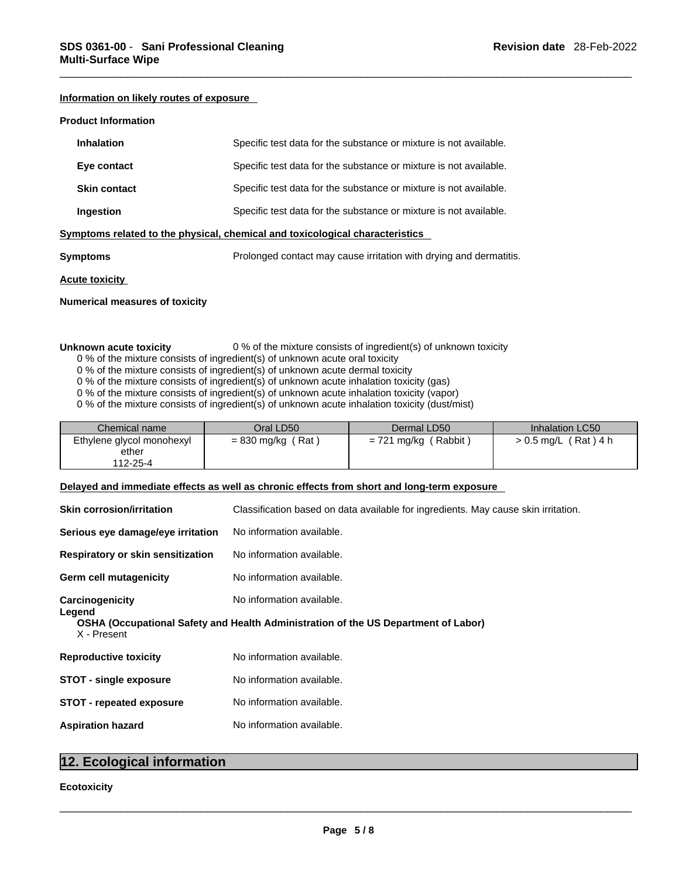### **Information on likely routes of exposure**

#### **Product Information**

| <b>Inhalation</b>     | Specific test data for the substance or mixture is not available.            |
|-----------------------|------------------------------------------------------------------------------|
| Eye contact           | Specific test data for the substance or mixture is not available.            |
| <b>Skin contact</b>   | Specific test data for the substance or mixture is not available.            |
| Ingestion             | Specific test data for the substance or mixture is not available.            |
|                       | Symptoms related to the physical, chemical and toxicological characteristics |
| <b>Symptoms</b>       | Prolonged contact may cause irritation with drying and dermatitis.           |
| <b>Acute toxicity</b> |                                                                              |

### **Numerical measures of toxicity**

### **Unknown acute toxicity** 0 % of the mixture consists of ingredient(s) of unknown toxicity

- 0 % of the mixture consists of ingredient(s) of unknown acute oral toxicity
- 0 % of the mixture consists of ingredient(s) of unknown acute dermal toxicity
- 0 % of the mixture consists of ingredient(s) of unknown acute inhalation toxicity (gas)
- 0 % of the mixture consists of ingredient(s) of unknown acute inhalation toxicity (vapor)
- 0 % of the mixture consists of ingredient(s) of unknown acute inhalation toxicity (dust/mist)

| Chemical name             | Oral LD50            | Dermal LD50            | Inhalation LC50        |
|---------------------------|----------------------|------------------------|------------------------|
| Ethylene glycol monohexyl | (Rat)<br>= 830 mg/kg | $= 721$ mg/kg (Rabbit) | $> 0.5$ mg/L (Rat) 4 h |
| ether                     |                      |                        |                        |
| 112-25-4                  |                      |                        |                        |

#### **Delayed and immediate effects as well as chronic effects from short and long-term exposure**

| <b>Skin corrosion/irritation</b>  | Classification based on data available for ingredients. May cause skin irritation. |
|-----------------------------------|------------------------------------------------------------------------------------|
| Serious eye damage/eye irritation | No information available.                                                          |
| Respiratory or skin sensitization | No information available.                                                          |
| Germ cell mutagenicity            | No information available.                                                          |
| Carcinogenicity                   | No information available.                                                          |
| Legend<br>X - Present             | OSHA (Occupational Safety and Health Administration of the US Department of Labor) |
| <b>Reproductive toxicity</b>      | No information available.                                                          |
| <b>STOT - single exposure</b>     | No information available.                                                          |
| <b>STOT - repeated exposure</b>   | No information available.                                                          |
| <b>Aspiration hazard</b>          | No information available.                                                          |
|                                   |                                                                                    |
| 12. Ecological information        |                                                                                    |
| <b>Ecotoxicity</b>                |                                                                                    |
|                                   |                                                                                    |

#### **Ecotoxicity**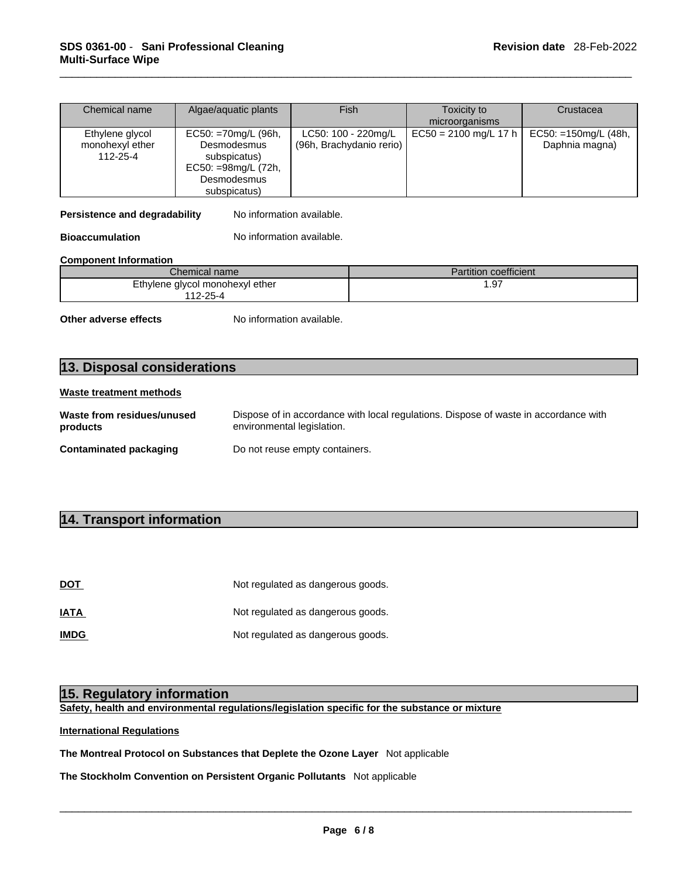| Chemical name                                        | Algae/aquatic plants                                                            | Fish                                            | Toxicity to             | Crustacea                                  |
|------------------------------------------------------|---------------------------------------------------------------------------------|-------------------------------------------------|-------------------------|--------------------------------------------|
|                                                      |                                                                                 |                                                 | microorganisms          |                                            |
| Ethylene glycol<br>monohexyl ether<br>$112 - 25 - 4$ | $EC50: = 70mg/L (96h,$<br>Desmodesmus<br>subspicatus)<br>$EC50: = 98mg/L (72h,$ | LC50: 100 - 220mg/L<br>(96h, Brachydanio rerio) | $EC50 = 2100$ mg/L 17 h | $EC50: = 150$ mg/L (48h,<br>Daphnia magna) |
|                                                      | Desmodesmus<br>subspicatus)                                                     |                                                 |                         |                                            |

#### **Component Information**

| Chemical name                   | <b>Partition coefficient</b> |
|---------------------------------|------------------------------|
| Ethylene glycol monohexyl ether | .97                          |
| $12 - 25 - 4$                   |                              |

| 112-20-4                               | supspicatus)<br>EC50: =98mg/L (72h,<br>Desmodesmus<br>subspicatus) |                                                                                      |
|----------------------------------------|--------------------------------------------------------------------|--------------------------------------------------------------------------------------|
| Persistence and degradability          | No information available.                                          |                                                                                      |
| <b>Bioaccumulation</b>                 | No information available.                                          |                                                                                      |
| <b>Component Information</b>           |                                                                    |                                                                                      |
|                                        | Chemical name                                                      | Partition coefficient                                                                |
|                                        | Ethylene glycol monohexyl ether<br>112-25-4                        | 1.97                                                                                 |
| Other adverse effects                  | No information available.                                          |                                                                                      |
| 13. Disposal considerations            |                                                                    |                                                                                      |
| <b>Waste treatment methods</b>         |                                                                    |                                                                                      |
| Waste from residues/unused<br>products | environmental legislation.                                         | Dispose of in accordance with local regulations. Dispose of waste in accordance with |
| <b>Contaminated packaging</b>          | Do not reuse empty containers.                                     |                                                                                      |
|                                        |                                                                    |                                                                                      |
| 14. Transport information              |                                                                    |                                                                                      |
|                                        |                                                                    |                                                                                      |
|                                        |                                                                    |                                                                                      |
|                                        |                                                                    |                                                                                      |

| 14. Transport information        |                                                                                    |
|----------------------------------|------------------------------------------------------------------------------------|
|                                  |                                                                                    |
|                                  |                                                                                    |
| DOT                              | Not regulated as dangerous goods.                                                  |
| IATA                             | Not regulated as dangerous goods.                                                  |
| <b>IMDG</b>                      | Not regulated as dangerous goods.                                                  |
|                                  |                                                                                    |
|                                  |                                                                                    |
| 15. Regulatory information       |                                                                                    |
|                                  | Safety, health and environmental regulations/legislation specific for the substanc |
| <b>International Regulations</b> |                                                                                    |

**Safety, health and environmental regulations/legislation specific for the substance or mixture**

### **International Regulations**

**The Montreal Protocol on Substances that Deplete the Ozone Layer** Not applicable

**The Stockholm Convention on Persistent Organic Pollutants** Not applicable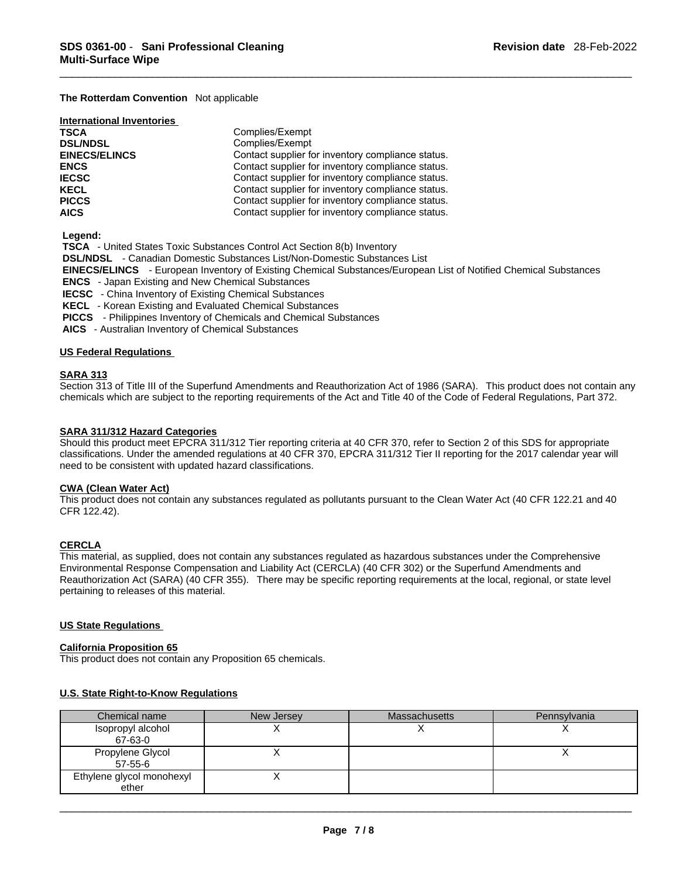#### **The Rotterdam Convention** Not applicable

| <b>International Inventories</b> |                                                   |
|----------------------------------|---------------------------------------------------|
| <b>TSCA</b>                      | Complies/Exempt                                   |
| <b>DSL/NDSL</b>                  | Complies/Exempt                                   |
| <b>EINECS/ELINCS</b>             | Contact supplier for inventory compliance status. |
| <b>ENCS</b>                      | Contact supplier for inventory compliance status. |
| <b>IECSC</b>                     | Contact supplier for inventory compliance status. |
| <b>KECL</b>                      | Contact supplier for inventory compliance status. |
| <b>PICCS</b>                     | Contact supplier for inventory compliance status. |
| <b>AICS</b>                      | Contact supplier for inventory compliance status. |

 **Legend:** 

 **TSCA** - United States Toxic Substances Control Act Section 8(b) Inventory

 **DSL/NDSL** - Canadian Domestic Substances List/Non-Domestic Substances List

 **EINECS/ELINCS** - European Inventory of Existing Chemical Substances/European List of Notified Chemical Substances

 **ENCS** - Japan Existing and New Chemical Substances

 **IECSC** - China Inventory of Existing Chemical Substances

 **KECL** - Korean Existing and Evaluated Chemical Substances

 **PICCS** - Philippines Inventory of Chemicals and Chemical Substances

 **AICS** - Australian Inventory of Chemical Substances

#### **US Federal Regulations**

#### **SARA 313**

Section 313 of Title III of the Superfund Amendments and Reauthorization Act of 1986 (SARA). This product does not contain any chemicals which are subject to the reporting requirements of the Act and Title 40 of the Code of Federal Regulations, Part 372.

#### **SARA 311/312 Hazard Categories**

Should this product meet EPCRA 311/312 Tier reporting criteria at 40 CFR 370, refer to Section 2 of this SDS for appropriate classifications. Under the amended regulations at 40 CFR 370, EPCRA 311/312 Tier II reporting for the 2017 calendar year will need to be consistent with updated hazard classifications.

#### **CWA (Clean Water Act)**

This product does not contain any substances regulated as pollutants pursuant to the Clean Water Act (40 CFR 122.21 and 40 CFR 122.42).

#### **CERCLA**

This material, as supplied, does not contain any substances regulated as hazardous substances under the Comprehensive Environmental Response Compensation and Liability Act (CERCLA) (40 CFR 302) or the Superfund Amendments and Reauthorization Act (SARA) (40 CFR 355). There may be specific reporting requirements at the local, regional, or state level pertaining to releases of this material.

#### **US State Regulations**

#### **California Proposition 65**

This product does not contain any Proposition 65 chemicals.

#### **U.S. State Right-to-Know Regulations**

| Chemical name             | New Jersey | <b>Massachusetts</b> | Pennsylvania |
|---------------------------|------------|----------------------|--------------|
| Isopropyl alcohol         |            |                      |              |
| 67-63-0                   |            |                      |              |
| Propylene Glycol          |            |                      |              |
| 57-55-6                   |            |                      |              |
| Ethylene glycol monohexyl |            |                      |              |
| ether                     |            |                      |              |